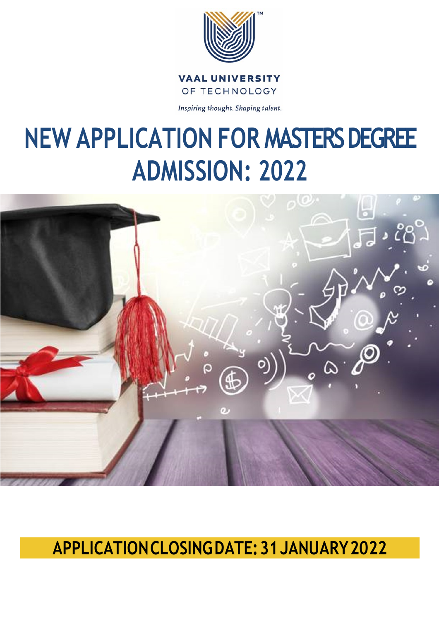

**VAAL UNIVERSITY** OF TECHNOLOGY

Inspiring thought. Shaping talent.

# **NEW APPLICATION FOR MASTERS DEGREE ADMISSION: 2022**



## **APPLICATIONCLOSINGDATE:31JANUARY2022**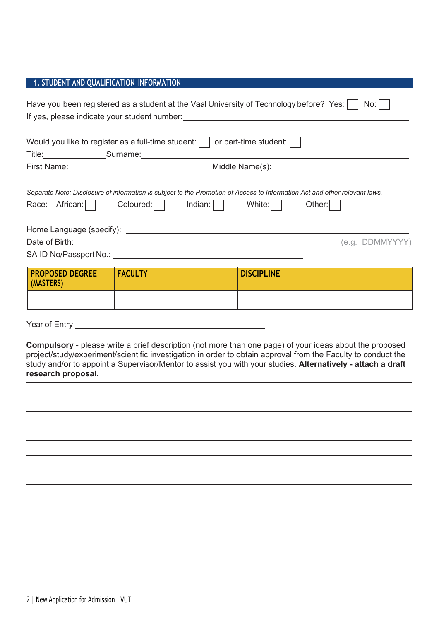### **1. STUDENT AND QUALIFICATION INFORMATION**

| Have you been registered as a student at the Vaal University of Technology before? Yes:<br>No: I<br>If yes, please indicate your student number: ___________________________________ |                                                                                                                                                                                                                                                                                                                                            |                   |  |  |
|--------------------------------------------------------------------------------------------------------------------------------------------------------------------------------------|--------------------------------------------------------------------------------------------------------------------------------------------------------------------------------------------------------------------------------------------------------------------------------------------------------------------------------------------|-------------------|--|--|
|                                                                                                                                                                                      | Would you like to register as a full-time student: $\vert \ \vert$ or part-time student: $\vert \ \vert$<br>Title: Surname: Surname: Surname: Surname: Surname: Surname: Surname: Surname: Surname: Surname: Surname: Surname: Surname: Surname: Surname: Surname: Surname: Surname: Surname: Surname: Surname: Surname: Surname: Surname: |                   |  |  |
|                                                                                                                                                                                      |                                                                                                                                                                                                                                                                                                                                            |                   |  |  |
| Race: African:                                                                                                                                                                       | Separate Note: Disclosure of information is subject to the Promotion of Access to Information Act and other relevant laws.<br>Coloured: Indian:     White:                                                                                                                                                                                 | Other: $\vert$    |  |  |
|                                                                                                                                                                                      | Date of Birth: (e.g. DDMMYYYY)                                                                                                                                                                                                                                                                                                             |                   |  |  |
|                                                                                                                                                                                      |                                                                                                                                                                                                                                                                                                                                            |                   |  |  |
| <b>PROPOSED DEGREE</b><br>(MASTERS)                                                                                                                                                  | <b>FACULTY</b>                                                                                                                                                                                                                                                                                                                             | <b>DISCIPLINE</b> |  |  |
|                                                                                                                                                                                      |                                                                                                                                                                                                                                                                                                                                            |                   |  |  |

Year of Entry:

**Compulsory** - please write a brief description (not more than one page) of your ideas about the proposed project/study/experiment/scientific investigation in order to obtain approval from the Faculty to conduct the study and/or to appoint a Supervisor/Mentor to assist you with your studies. **Alternatively - attach a draft research proposal.**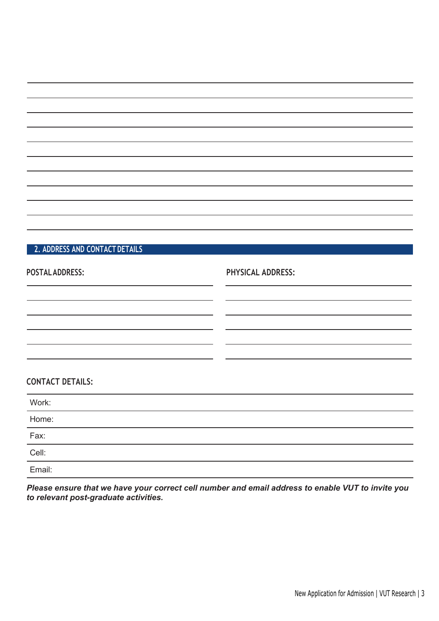### **2. ADDRESS AND CONTACT DETAILS**

| <b>POSTAL ADDRESS:</b>  | <b>PHYSICAL ADDRESS:</b> |
|-------------------------|--------------------------|
|                         |                          |
| <b>CONTACT DETAILS:</b> |                          |
| Work:                   |                          |
| Home:                   |                          |
| Fax:                    |                          |
| Cell:                   |                          |
| Email:                  |                          |

*Please ensure that we have your correct cell number and email address to enable VUT to invite you to relevant post-graduate activities.*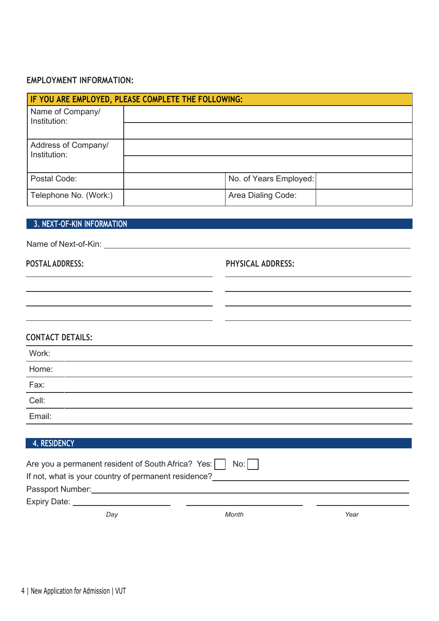### **EMPLOYMENT INFORMATION:**

| IF YOU ARE EMPLOYED, PLEASE COMPLETE THE FOLLOWING: |  |                        |  |  |
|-----------------------------------------------------|--|------------------------|--|--|
| Name of Company/<br>Institution:                    |  |                        |  |  |
|                                                     |  |                        |  |  |
| Address of Company/<br>Institution:                 |  |                        |  |  |
|                                                     |  |                        |  |  |
| Postal Code:                                        |  | No. of Years Employed: |  |  |
| Telephone No. (Work:)                               |  | Area Dialing Code:     |  |  |

### **3. NEXT-OF-KIN INFORMATION**

Name of Next-of-Kin:

### **POSTALADDRESS: PHYSICAL ADDRESS:**

| Work:<br>$\frac{1}{\sqrt{2\pi}}\left( \frac{1}{\sqrt{2\pi}}\right) \left( \frac{1}{\sqrt{2\pi}}\right) \left( \frac{1}{\sqrt{2\pi}}\right) \left( \frac{1}{\sqrt{2\pi}}\right) \left( \frac{1}{\sqrt{2\pi}}\right) \left( \frac{1}{\sqrt{2\pi}}\right) \left( \frac{1}{\sqrt{2\pi}}\right) \left( \frac{1}{\sqrt{2\pi}}\right) \left( \frac{1}{\sqrt{2\pi}}\right) \left( \frac{1}{\sqrt{2\pi}}\right) \left( \frac{1}{\sqrt{2\pi}}\right) \left( \frac{1}{\sqrt$ |  |  |  |
|-------------------------------------------------------------------------------------------------------------------------------------------------------------------------------------------------------------------------------------------------------------------------------------------------------------------------------------------------------------------------------------------------------------------------------------------------------------------|--|--|--|
| Home:                                                                                                                                                                                                                                                                                                                                                                                                                                                             |  |  |  |
| Fax:                                                                                                                                                                                                                                                                                                                                                                                                                                                              |  |  |  |
| ___<br>Cell:                                                                                                                                                                                                                                                                                                                                                                                                                                                      |  |  |  |
| Email:                                                                                                                                                                                                                                                                                                                                                                                                                                                            |  |  |  |
|                                                                                                                                                                                                                                                                                                                                                                                                                                                                   |  |  |  |

### **4. RESIDENCY**

| Are you a permanent resident of South Africa? Yes:     No: |  |  |  |  |  |
|------------------------------------------------------------|--|--|--|--|--|
| If not, what is your country of permanent residence?       |  |  |  |  |  |
| Passport Number:                                           |  |  |  |  |  |
| Expiry Date:                                               |  |  |  |  |  |
| Month<br>Dav<br>Year                                       |  |  |  |  |  |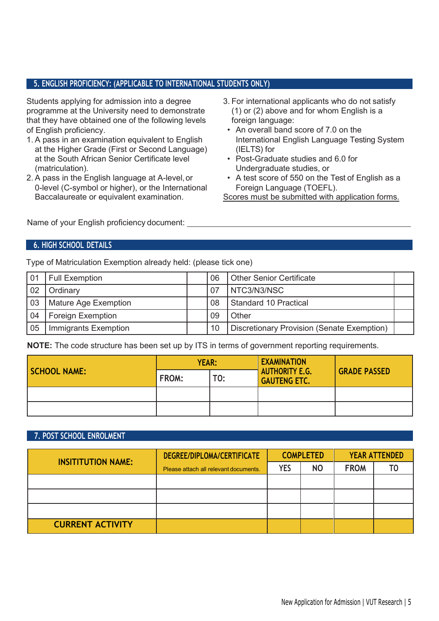### **5. ENGLISH PROFICIENCY: (APPLICABLE TO INTERNATIONAL STUDENTS ONLY)**

Students applying for admission into a degree programme at the University need to demonstrate that they have obtained one of the following levels of English proficiency.

- 1. A pass in an examination equivalent to English at the Higher Grade (First or Second Language) at the South African Senior Certificate level (matriculation).
- 2. A pass in the English language at A-level,or 0-level (C-symbol or higher), or the International Baccalaureate or equivalent examination.
- 3. For international applicants who do not satisfy (1) or (2) above and for whom English is a foreign language:
- An overall band score of 7.0 on the International English Language Testing System (IELTS) for
- Post-Graduate studies and 6.0 for Undergraduate studies, or
- A test score of 550 on the Test of English as a Foreign Language (TOEFL).

Scores must be submitted with application forms.

Name of your English proficiency document:

### **6. HIGH SCHOOL DETAILS**

Type of Matriculation Exemption already held: (please tick one)

| 01 | <b>Full Exemption</b>    | 06  | <b>Other Senior Certificate</b>            |  |
|----|--------------------------|-----|--------------------------------------------|--|
| 02 | Ordinary                 | -07 | NTC3/N3/NSC                                |  |
| 03 | Mature Age Exemption     | 08  | <b>Standard 10 Practical</b>               |  |
| 04 | <b>Foreign Exemption</b> | 09  | Other                                      |  |
| 05 | Immigrants Exemption     | 10  | Discretionary Provision (Senate Exemption) |  |

**NOTE:** The code structure has been set up by ITS in terms of government reporting requirements.

| <b>SCHOOL NAME:</b> | <b>YEAR:</b> |     | <b>EXAMINATION</b>                           |                     |
|---------------------|--------------|-----|----------------------------------------------|---------------------|
|                     | FROM:        | TO: | <b>AUTHORITY E.G.</b><br><b>GAUTENG ETC.</b> | <b>GRADE PASSED</b> |
|                     |              |     |                                              |                     |
|                     |              |     |                                              |                     |

### **7. POST SCHOOL ENROLMENT**

| <b>INSITITUTION NAME:</b> | DEGREE/DIPLOMA/CERTIFICATE            |            | <b>COMPLETED</b> |             | <b>YEAR ATTENDED</b> |  |
|---------------------------|---------------------------------------|------------|------------------|-------------|----------------------|--|
|                           | Please attach all relevant documents. | <b>YES</b> | <b>NO</b>        | <b>FROM</b> |                      |  |
|                           |                                       |            |                  |             |                      |  |
|                           |                                       |            |                  |             |                      |  |
|                           |                                       |            |                  |             |                      |  |
| <b>CURRENT ACTIVITY</b>   |                                       |            |                  |             |                      |  |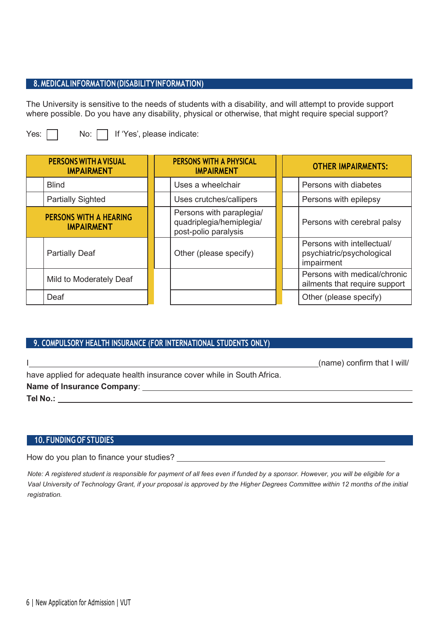### **8.MEDICALINFORMATION(DISABILITYINFORMATION)**

The University is sensitive to the needs of students with a disability, and will attempt to provide support where possible. Do you have any disability, physical or otherwise, that might require special support?

Yes:  $\Box$  No:  $\Box$  If 'Yes', please indicate:

| <b>PERSONS WITH A VISUAL</b><br><b>IMPAIRMENT</b>  | <b>PERSONS WITH A PHYSICAL</b><br><b>IMPAIRMENT</b>                          | <b>OTHER IMPAIRMENTS:</b>                                             |
|----------------------------------------------------|------------------------------------------------------------------------------|-----------------------------------------------------------------------|
| <b>Blind</b>                                       | Uses a wheelchair                                                            | Persons with diabetes                                                 |
| <b>Partially Sighted</b>                           | Uses crutches/callipers                                                      | Persons with epilepsy                                                 |
| <b>PERSONS WITH A HEARING</b><br><b>IMPAIRMENT</b> | Persons with paraplegia/<br>quadriplegia/hemiplegia/<br>post-polio paralysis | Persons with cerebral palsy                                           |
| <b>Partially Deaf</b>                              | Other (please specify)                                                       | Persons with intellectual/<br>psychiatric/psychological<br>impairment |
| Mild to Moderately Deaf                            |                                                                              | Persons with medical/chronic<br>ailments that require support         |
| Deaf                                               |                                                                              | Other (please specify)                                                |

### **9. COMPULSORY HEALTH INSURANCE (FOR INTERNATIONAL STUDENTS ONLY)**

|                                                                         | (name) confirm that I will |
|-------------------------------------------------------------------------|----------------------------|
| have applied for adequate health insurance cover while in South Africa. |                            |
| Name of Insurance Company: Name of Insurance Company:                   |                            |
| Tel No.:                                                                |                            |

### **10. FUNDING OF STUDIES**

How do you plan to finance your studies?

*Note: A registered student is responsible for payment of all fees even if funded by a sponsor. However, you will be eligible for a Vaal University of Technology Grant, if your proposal is approved by the Higher Degrees Committee within 12 months of the initial registration.*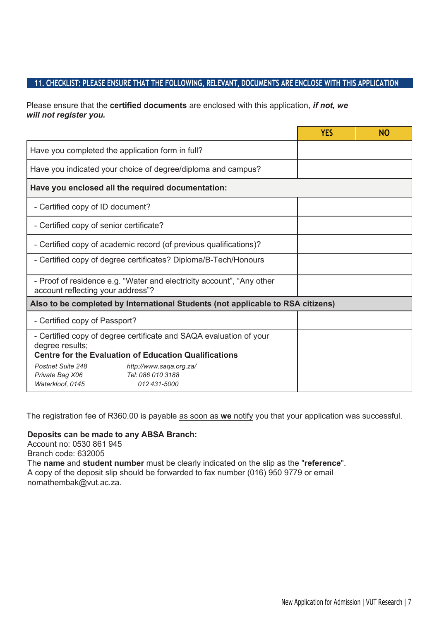### **11. CHECKLIST: PLEASE ENSURE THAT THE FOLLOWING, RELEVANT, DOCUMENTS ARE ENCLOSE WITH THIS APPLICATION**

Please ensure that the **certified documents** are enclosed with this application, *if not, we will not register you.*

|                                                                                                                                                       | <b>YES</b> | <b>NO</b> |
|-------------------------------------------------------------------------------------------------------------------------------------------------------|------------|-----------|
| Have you completed the application form in full?                                                                                                      |            |           |
| Have you indicated your choice of degree/diploma and campus?                                                                                          |            |           |
| Have you enclosed all the required documentation:                                                                                                     |            |           |
| - Certified copy of ID document?                                                                                                                      |            |           |
| - Certified copy of senior certificate?                                                                                                               |            |           |
| - Certified copy of academic record (of previous qualifications)?                                                                                     |            |           |
| - Certified copy of degree certificates? Diploma/B-Tech/Honours                                                                                       |            |           |
| - Proof of residence e.g. "Water and electricity account", "Any other<br>account reflecting your address"?                                            |            |           |
| Also to be completed by International Students (not applicable to RSA citizens)                                                                       |            |           |
| - Certified copy of Passport?                                                                                                                         |            |           |
| - Certified copy of degree certificate and SAQA evaluation of your<br>degree results;<br><b>Centre for the Evaluation of Education Qualifications</b> |            |           |
| Postnet Suite 248<br>http://www.saqa.org.za/<br>Tel: 086 010 3188<br>Private Bag X06<br>Waterkloof, 0145<br>012 431-5000                              |            |           |

The registration fee of R360.00 is payable as soon as **we** notify you that your application was successful.

### **Deposits can be made to any ABSA Branch:**

Account no: 0530 861 945 Branch code: 632005 The **name** and **student number** must be clearly indicated on the slip as the "**reference**". A copy of the deposit slip should be forwarded to fax number (016) 950 9779 or email [nomathembak@vut.ac.za.](mailto:nomathembak@vut.ac.za)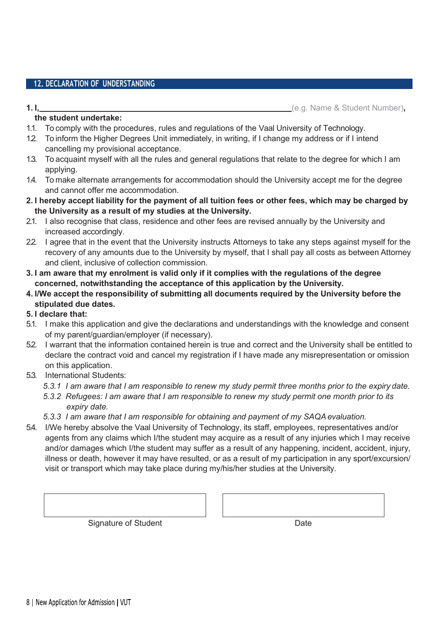### **12. DECLARATION OF UNDERSTANDING**

**1. I,** (e.g. Name & Student Number)**,** 

#### **the student undertake:**

- 1.1. To comply with the procedures, rules and regulations of the Vaal University of Technology.
- 1.2. To inform the Higher Degrees Unit immediately, in writing, if I change my address or if I intend cancelling my provisional acceptance.
- 1.3. To acquaint myself with all the rules and general regulations that relate to the degree for which I am applying.
- 1.4. To make alternate arrangements for accommodation should the University accept me for the degree and cannot offer me accommodation.
- **2. I hereby accept liability for the payment of all tuition fees or other fees, which may be charged by the University as a result of my studies at the University.**
- 2.1. I also recognise that class, residence and other fees are revised annually by the University and increased accordingly.
- 22. I agree that in the event that the University instructs Attorneys to take any steps against myself for the recovery of any amounts due to the University by myself, that I shall pay all costs as between Attorney and client, inclusive of collection commission.
- **3. I am aware that my enrolment is valid only if it complies with the regulations of the degree concerned, notwithstanding the acceptance of this application by the University.**
- **4. I/We accept the responsibility of submitting all documents required by the University before the stipulated due dates.**

### **5. I declare that:**

- 5.1. I make this application and give the declarations and understandings with the knowledge and consent of my parent/guardian/employer (if necessary).
- 5.2. I warrant that the information contained herein is true and correct and the University shall be entitled to declare the contract void and cancel my registration if I have made any misrepresentation or omission on this application.
- 5.3. International Students:
	- *5.3.1 I am aware that I am responsible to renew my study permit three months prior to the expiry date.*
	- *5.3.2 Refugees: I am aware that I am responsible to renew my study permit one month prior to its expiry date.*
	- *5.3.3 I am aware that I am responsible for obtaining and payment of my SAQAevaluation.*
- 5.4. I/We hereby absolve the Vaal University of Technology, its staff, employees, representatives and/or agents from any claims which I/the student may acquire as a result of any injuries which I may receive and/or damages which I/the student may suffer as a result of any happening, incident, accident, injury, illness or death, however it may have resulted, or as a result of my participation in any sport/excursion/ visit or transport which may take place during my/his/her studies at the University.

Signature of Student **Date**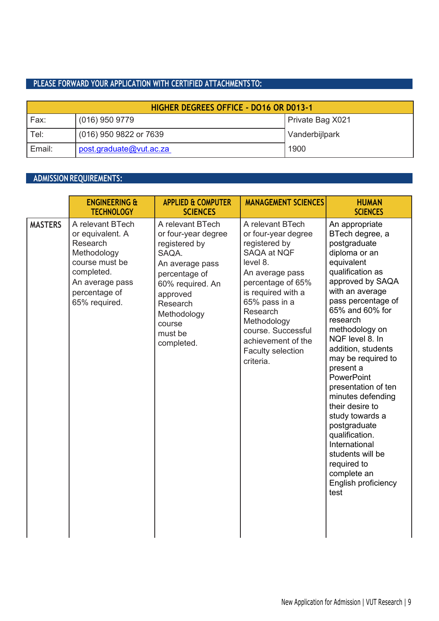### **PLEASE FORWARD YOUR APPLICATION WITH CERTIFIED ATTACHMENTSTO:**

| <b>HIGHER DEGREES OFFICE - DO16 OR D013-1</b> |                         |                  |  |
|-----------------------------------------------|-------------------------|------------------|--|
| Fax:                                          | $(016)$ 950 9779        | Private Bag X021 |  |
| Tel:                                          | (016) 950 9822 or 7639  | Vanderbijlpark   |  |
| Email:                                        | post.graduate@vut.ac.za | 1900             |  |

### **ADMISSION REQUIREMENTS:**

|                | <b>ENGINEERING &amp;</b><br><b>TECHNOLOGY</b>                                                                                                        | <b>APPLIED &amp; COMPUTER</b><br><b>SCIENCES</b>                                                                                                                                                    | <b>MANAGEMENT SCIENCES</b>                                                                                                                                                                                                                                                         | <b>HUMAN</b><br><b>SCIENCES</b>                                                                                                                                                                                                                                                                                                                                                                                                                                                                                                    |
|----------------|------------------------------------------------------------------------------------------------------------------------------------------------------|-----------------------------------------------------------------------------------------------------------------------------------------------------------------------------------------------------|------------------------------------------------------------------------------------------------------------------------------------------------------------------------------------------------------------------------------------------------------------------------------------|------------------------------------------------------------------------------------------------------------------------------------------------------------------------------------------------------------------------------------------------------------------------------------------------------------------------------------------------------------------------------------------------------------------------------------------------------------------------------------------------------------------------------------|
| <b>MASTERS</b> | A relevant BTech<br>or equivalent. A<br>Research<br>Methodology<br>course must be<br>completed.<br>An average pass<br>percentage of<br>65% required. | A relevant BTech<br>or four-year degree<br>registered by<br>SAQA.<br>An average pass<br>percentage of<br>60% required. An<br>approved<br>Research<br>Methodology<br>course<br>must be<br>completed. | A relevant BTech<br>or four-year degree<br>registered by<br>SAQA at NQF<br>level 8.<br>An average pass<br>percentage of 65%<br>is required with a<br>65% pass in a<br>Research<br>Methodology<br>course. Successful<br>achievement of the<br><b>Faculty selection</b><br>criteria. | An appropriate<br>BTech degree, a<br>postgraduate<br>diploma or an<br>equivalent<br>qualification as<br>approved by SAQA<br>with an average<br>pass percentage of<br>65% and 60% for<br>research<br>methodology on<br>NQF level 8. In<br>addition, students<br>may be required to<br>present a<br>PowerPoint<br>presentation of ten<br>minutes defending<br>their desire to<br>study towards a<br>postgraduate<br>qualification.<br>International<br>students will be<br>required to<br>complete an<br>English proficiency<br>test |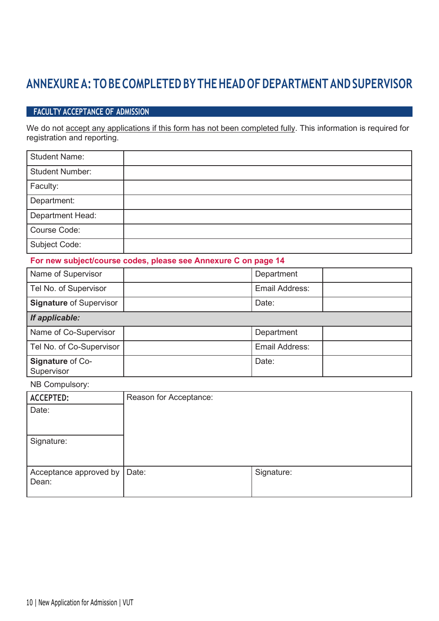### **ANNEXUREA: TO BECOMPLETED BY THEHEAD OFDEPARTMENT ANDSUPERVISOR**

### **FACULTY ACCEPTANCE OF ADMISSION**

We do not accept any applications if this form has not been completed fully. This information is required for registration and reporting.

| <b>Student Name:</b>   |  |
|------------------------|--|
| <b>Student Number:</b> |  |
| Faculty:               |  |
| Department:            |  |
| Department Head:       |  |
| Course Code:           |  |
| <b>Subject Code:</b>   |  |

### **For new subject/course codes, please see Annexure C on page 14**

| Name of Supervisor             | Department     |  |
|--------------------------------|----------------|--|
| Tel No. of Supervisor          | Email Address: |  |
| <b>Signature of Supervisor</b> | Date:          |  |
| If applicable:                 |                |  |
| Name of Co-Supervisor          | Department     |  |
| Tel No. of Co-Supervisor       | Email Address: |  |
| Signature of Co-<br>Supervisor | Date:          |  |

### NB Compulsory:

| <b>ACCEPTED:</b>       | Reason for Acceptance: |            |
|------------------------|------------------------|------------|
| Date:                  |                        |            |
|                        |                        |            |
|                        |                        |            |
| Signature:             |                        |            |
|                        |                        |            |
|                        |                        |            |
| Acceptance approved by | Date:                  | Signature: |
| Dean:                  |                        |            |
|                        |                        |            |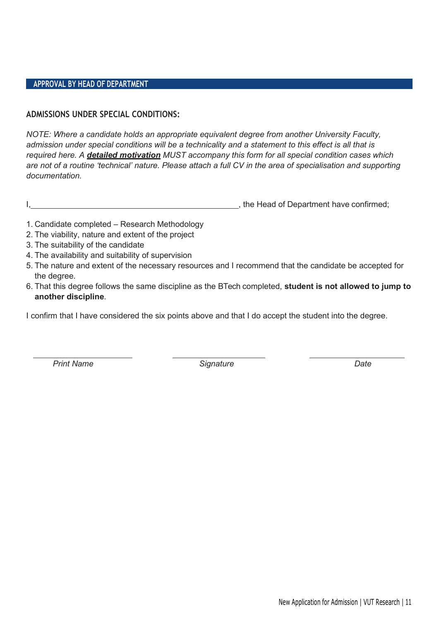### **APPROVAL BY HEAD OF DEPARTMENT**

### **ADMISSIONS UNDER SPECIAL CONDITIONS:**

*NOTE: Where a candidate holds an appropriate equivalent degree from another University Faculty, admission under special conditions will be a technicality and a statement to this effect is all that is required here. A detailed motivation MUST accompany this form for all special condition cases which are not of a routine 'technical' nature. Please attach a full CV in the area of specialisation and supporting documentation.*

I, the Head of Department have confirmed;  $\blacksquare$ 

- 1. Candidate completed Research Methodology
- 2. The viability, nature and extent of the project
- 3. The suitability of the candidate
- 4. The availability and suitability of supervision
- 5. The nature and extent of the necessary resources and I recommend that the candidate be accepted for the degree.
- 6. That this degree follows the same discipline as the BTech completed, **student is not allowed to jump to another discipline**.

I confirm that I have considered the six points above and that I do accept the student into the degree.

*Print Name Signature Date*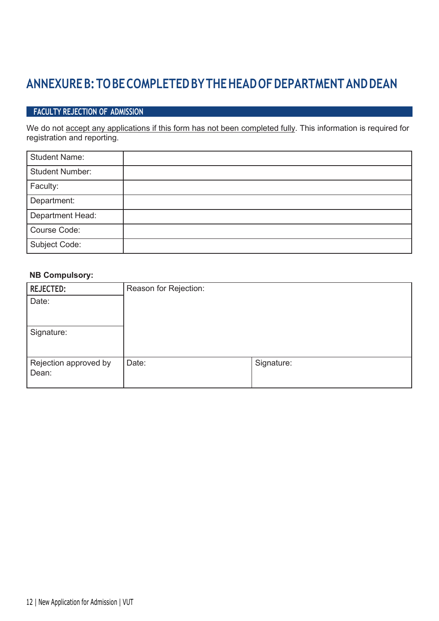### **ANNEXUREB:TOBECOMPLETEDBYTHEHEADOFDEPARTMENTANDDEAN**

### **FACULTY REJECTION OF ADMISSION**

We do not accept any applications if this form has not been completed fully. This information is required for registration and reporting.

| <b>Student Name:</b>   |  |
|------------------------|--|
| <b>Student Number:</b> |  |
| Faculty:               |  |
| Department:            |  |
| Department Head:       |  |
| Course Code:           |  |
| Subject Code:          |  |

### **NB Compulsory:**

| <b>REJECTED:</b>               | Reason for Rejection: |            |
|--------------------------------|-----------------------|------------|
| Date:                          |                       |            |
| Signature:                     |                       |            |
| Rejection approved by<br>Dean: | Date:                 | Signature: |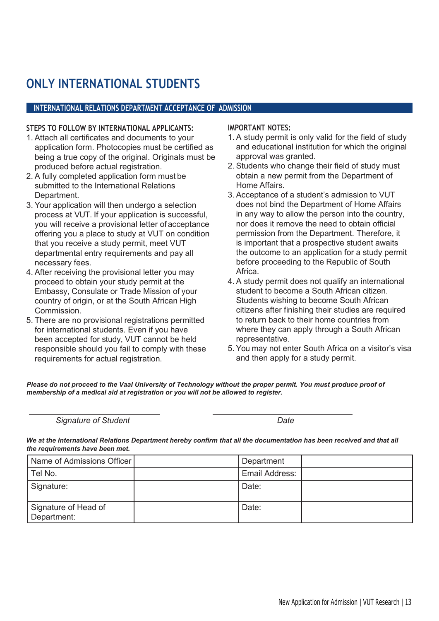### **ONLY INTERNATIONAL STUDENTS**

### **INTERNATIONAL RELATIONS DEPARTMENT ACCEPTANCE OF ADMISSION**

#### **STEPS TO FOLLOW BY INTERNATIONAL APPLICANTS:**

- 1. Attach all certificates and documents to your application form. Photocopies must be certified as being a true copy of the original. Originals must be produced before actual registration.
- 2. A fully completed application form must be submitted to the International Relations Department.
- 3. Your application will then undergo a selection process at VUT. If your application is successful, you will receive a provisional letter of acceptance offering you a place to study at VUT on condition that you receive a study permit, meet VUT departmental entry requirements and pay all necessary fees.
- 4. After receiving the provisional letter you may proceed to obtain your study permit at the Embassy, Consulate or Trade Mission of your country of origin, or at the South African High Commission.
- 5. There are no provisional registrations permitted for international students. Even if you have been accepted for study, VUT cannot be held responsible should you fail to comply with these requirements for actual registration.

#### **IMPORTANT NOTES:**

- 1. A study permit is only valid for the field of study and educational institution for which the original approval was granted.
- 2. Students who change their field of study must obtain a new permit from the Department of Home Affairs.
- 3. Acceptance of a student's admission to VUT does not bind the Department of Home Affairs in any way to allow the person into the country, nor does it remove the need to obtain official permission from the Department. Therefore, it is important that a prospective student awaits the outcome to an application for a study permit before proceeding to the Republic of South Africa.
- 4. A study permit does not qualify an international student to become a South African citizen. Students wishing to become South African citizens after finishing their studies are required to return back to their home countries from where they can apply through a South African representative.
- 5. You may not enter South Africa on a visitor's visa and then apply for a study permit.

Please do not proceed to the Vaal University of Technology without the proper permit. You must produce proof of *membership of a medical aid at registration or you will not be allowed to register.*

*Signature of Student Date*

We at the International Relations Department hereby confirm that all the documentation has been received and that all *the requirements have been met.*

| Name of Admissions Officer          | Department     |  |
|-------------------------------------|----------------|--|
| Tel No.                             | Email Address: |  |
| Signature:                          | Date:          |  |
| Signature of Head of<br>Department: | Date:          |  |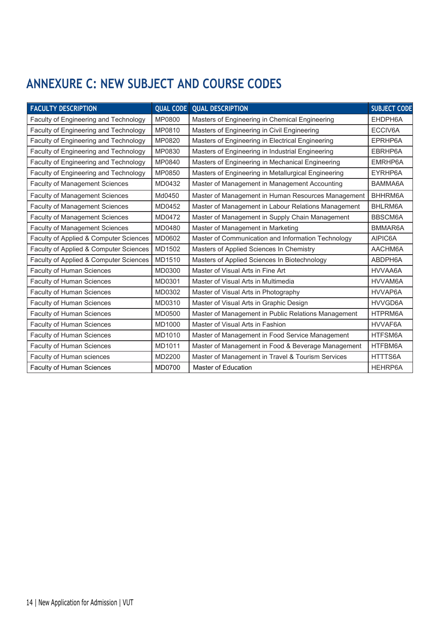### **ANNEXURE C: NEW SUBJECT AND COURSE CODES**

| <b>FACULTY DESCRIPTION</b>             | <b>QUAL CODE</b> | <b>QUAL DESCRIPTION</b>                             | <b>SUBJECT CODE</b> |
|----------------------------------------|------------------|-----------------------------------------------------|---------------------|
| Faculty of Engineering and Technology  | MP0800           | Masters of Engineering in Chemical Engineering      | EHDPH6A             |
| Faculty of Engineering and Technology  | MP0810           | Masters of Engineering in Civil Engineering         | ECCIV6A             |
| Faculty of Engineering and Technology  | MP0820           | Masters of Engineering in Electrical Engineering    | EPRHP6A             |
| Faculty of Engineering and Technology  | MP0830           | Masters of Engineering in Industrial Engineering    | EBRHP6A             |
| Faculty of Engineering and Technology  | MP0840           | Masters of Engineering in Mechanical Engineering    | EMRHP6A             |
| Faculty of Engineering and Technology  | MP0850           | Masters of Engineering in Metallurgical Engineering | EYRHP6A             |
| <b>Faculty of Management Sciences</b>  | MD0432           | Master of Management in Management Accounting       | BAMMA6A             |
| <b>Faculty of Management Sciences</b>  | Md0450           | Master of Management in Human Resources Management  | BHHRM6A             |
| <b>Faculty of Management Sciences</b>  | MD0452           | Master of Management in Labour Relations Management | BHLRM6A             |
| <b>Faculty of Management Sciences</b>  | MD0472           | Master of Management in Supply Chain Management     | BBSCM6A             |
| <b>Faculty of Management Sciences</b>  | MD0480           | Master of Management in Marketing                   | BMMAR6A             |
| Faculty of Applied & Computer Sciences | MD0602           | Master of Communication and Information Technology  | AIPIC6A             |
| Faculty of Applied & Computer Sciences | MD1502           | Masters of Applied Sciences In Chemistry            | AACHM6A             |
| Faculty of Applied & Computer Sciences | MD1510           | Masters of Applied Sciences In Biotechnology        | ABDPH6A             |
| Faculty of Human Sciences              | MD0300           | Master of Visual Arts in Fine Art                   | HVVAA6A             |
| Faculty of Human Sciences              | MD0301           | Master of Visual Arts in Multimedia                 | HVVAM6A             |
| Faculty of Human Sciences              | MD0302           | Master of Visual Arts in Photography                | HVVAP6A             |
| Faculty of Human Sciences              | MD0310           | Master of Visual Arts in Graphic Design             | HVVGD6A             |
| <b>Faculty of Human Sciences</b>       | MD0500           | Master of Management in Public Relations Management | HTPRM6A             |
| Faculty of Human Sciences              | MD1000           | Master of Visual Arts in Fashion                    | HVVAF6A             |
| Faculty of Human Sciences              | MD1010           | Master of Management in Food Service Management     | HTFSM6A             |
| Faculty of Human Sciences              | MD1011           | Master of Management in Food & Beverage Management  | HTFBM6A             |
| Faculty of Human sciences              | MD2200           | Master of Management in Travel & Tourism Services   | HTTTS6A             |
| <b>Faculty of Human Sciences</b>       | MD0700           | Master of Education                                 | <b>HEHRP6A</b>      |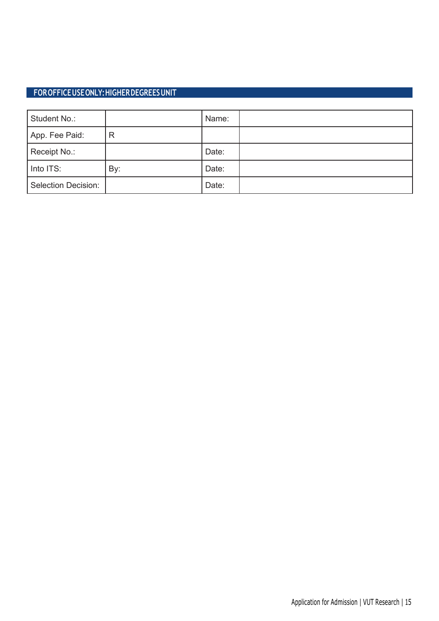### **FOROFFICEUSEONLY:HIGHERDEGREESUNIT**

| Student No.:               |     | Name: |  |
|----------------------------|-----|-------|--|
| App. Fee Paid:             | R   |       |  |
| Receipt No.:               |     | Date: |  |
| Into ITS:                  | By: | Date: |  |
| <b>Selection Decision:</b> |     | Date: |  |